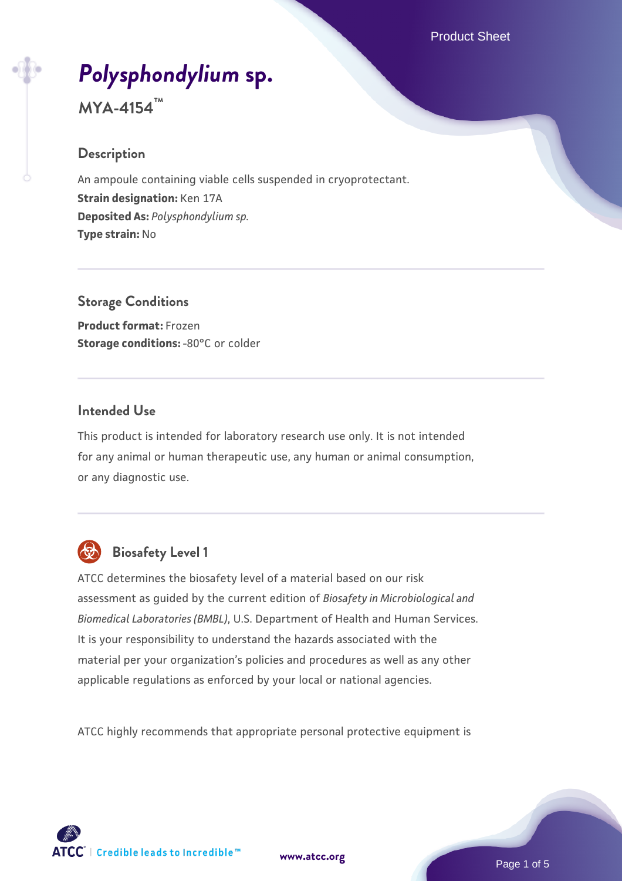# *[Polysphondylium](https://www.atcc.org/products/mya-4154)* **[sp.](https://www.atcc.org/products/mya-4154)**

**MYA-4154™**

## **Description**

An ampoule containing viable cells suspended in cryoprotectant. **Strain designation:** Ken 17A **Deposited As:** *Polysphondylium sp.* **Type strain:** No

**Storage Conditions Product format:** Frozen **Storage conditions: -80°C or colder** 

## **Intended Use**

This product is intended for laboratory research use only. It is not intended for any animal or human therapeutic use, any human or animal consumption, or any diagnostic use.



## **Biosafety Level 1**

ATCC determines the biosafety level of a material based on our risk assessment as guided by the current edition of *Biosafety in Microbiological and Biomedical Laboratories (BMBL)*, U.S. Department of Health and Human Services. It is your responsibility to understand the hazards associated with the material per your organization's policies and procedures as well as any other applicable regulations as enforced by your local or national agencies.

ATCC highly recommends that appropriate personal protective equipment is

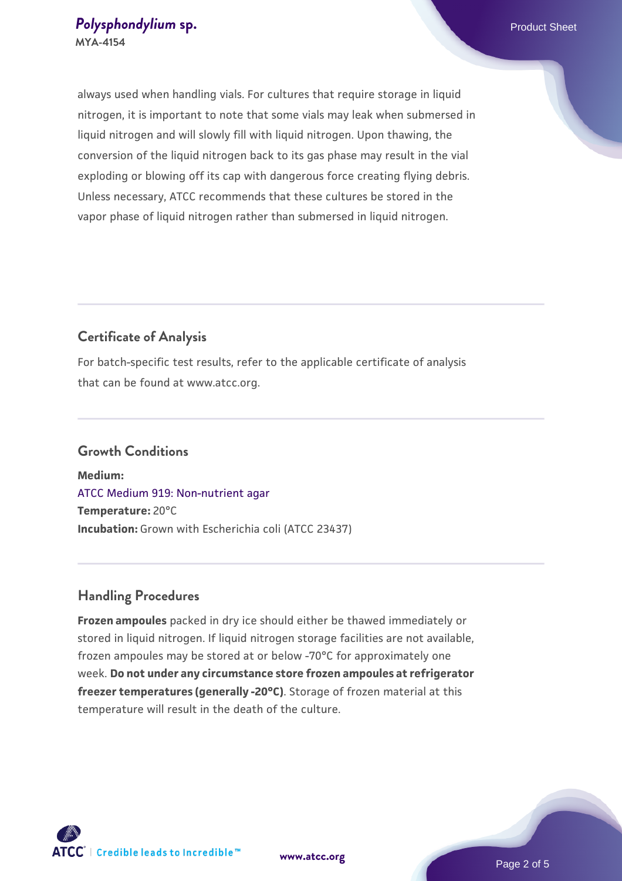always used when handling vials. For cultures that require storage in liquid nitrogen, it is important to note that some vials may leak when submersed in liquid nitrogen and will slowly fill with liquid nitrogen. Upon thawing, the conversion of the liquid nitrogen back to its gas phase may result in the vial exploding or blowing off its cap with dangerous force creating flying debris. Unless necessary, ATCC recommends that these cultures be stored in the vapor phase of liquid nitrogen rather than submersed in liquid nitrogen.

## **Certificate of Analysis**

For batch-specific test results, refer to the applicable certificate of analysis that can be found at www.atcc.org.

#### **Growth Conditions**

**Medium:**  [ATCC Medium 919: Non-nutrient agar](https://www.atcc.org/-/media/product-assets/documents/microbial-media-formulations/9/1/9/atcc-medium-919.pdf?rev=f4e1e31d2b4249c2a4e4c31a4c703c9e) **Temperature:** 20°C **Incubation:** Grown with Escherichia coli (ATCC 23437)

## **Handling Procedures**

**Frozen ampoules** packed in dry ice should either be thawed immediately or stored in liquid nitrogen. If liquid nitrogen storage facilities are not available, frozen ampoules may be stored at or below -70°C for approximately one week. **Do not under any circumstance store frozen ampoules at refrigerator freezer temperatures (generally -20°C)**. Storage of frozen material at this temperature will result in the death of the culture.



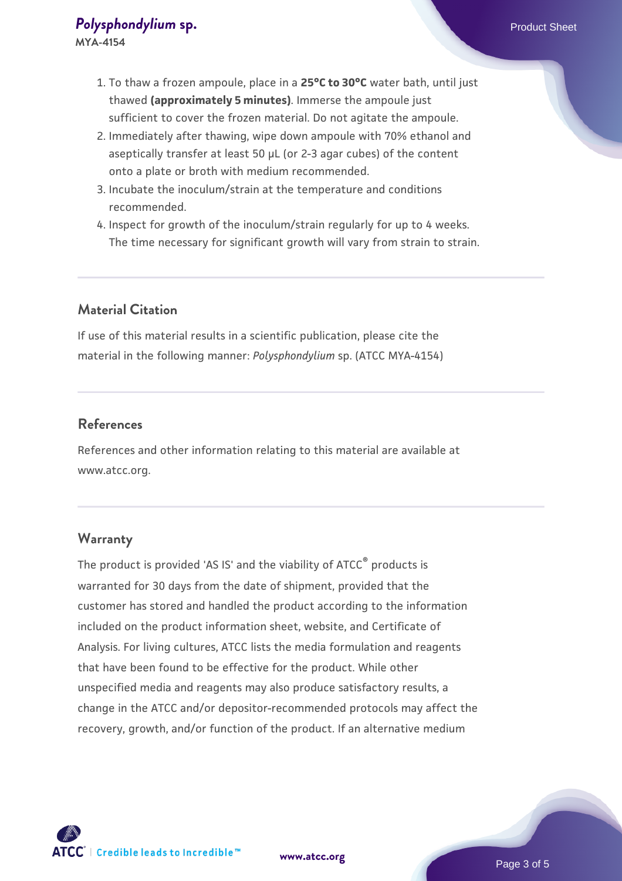- 1. To thaw a frozen ampoule, place in a **25°C to 30°C** water bath, until just thawed **(approximately 5 minutes)**. Immerse the ampoule just sufficient to cover the frozen material. Do not agitate the ampoule.
- 2. Immediately after thawing, wipe down ampoule with 70% ethanol and aseptically transfer at least 50 µL (or 2-3 agar cubes) of the content onto a plate or broth with medium recommended.
- 3. Incubate the inoculum/strain at the temperature and conditions recommended.
- 4. Inspect for growth of the inoculum/strain regularly for up to 4 weeks. The time necessary for significant growth will vary from strain to strain.

## **Material Citation**

If use of this material results in a scientific publication, please cite the material in the following manner: *Polysphondylium* sp. (ATCC MYA-4154)

#### **References**

References and other information relating to this material are available at www.atcc.org.

#### **Warranty**

The product is provided 'AS IS' and the viability of ATCC<sup>®</sup> products is warranted for 30 days from the date of shipment, provided that the customer has stored and handled the product according to the information included on the product information sheet, website, and Certificate of Analysis. For living cultures, ATCC lists the media formulation and reagents that have been found to be effective for the product. While other unspecified media and reagents may also produce satisfactory results, a change in the ATCC and/or depositor-recommended protocols may affect the recovery, growth, and/or function of the product. If an alternative medium

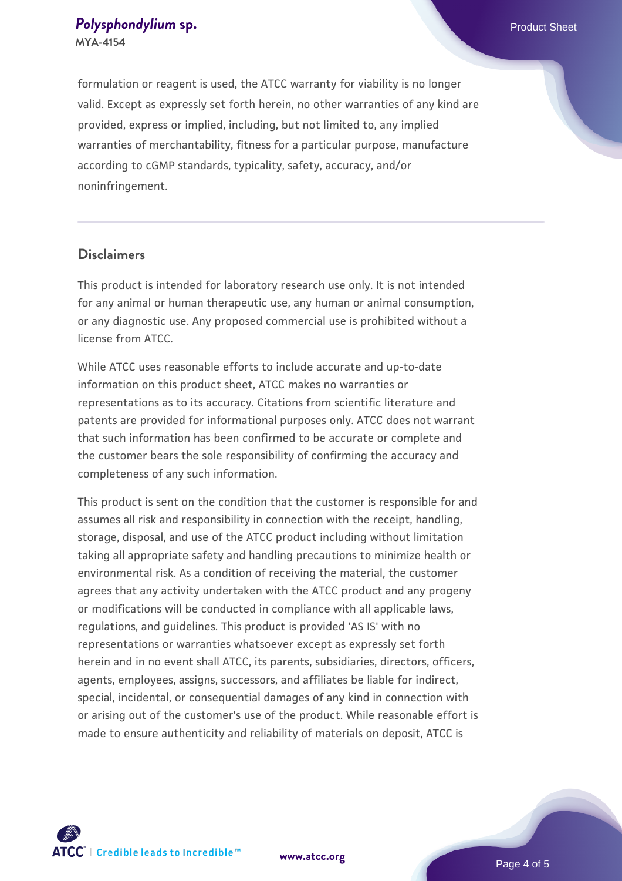#### **[Polysphondylium](https://www.atcc.org/products/mya-4154) [sp.](https://www.atcc.org/products/mya-4154) Polysphondylium sp. Product Sheet MYA-4154**

formulation or reagent is used, the ATCC warranty for viability is no longer valid. Except as expressly set forth herein, no other warranties of any kind are provided, express or implied, including, but not limited to, any implied warranties of merchantability, fitness for a particular purpose, manufacture according to cGMP standards, typicality, safety, accuracy, and/or noninfringement.

### **Disclaimers**

This product is intended for laboratory research use only. It is not intended for any animal or human therapeutic use, any human or animal consumption, or any diagnostic use. Any proposed commercial use is prohibited without a license from ATCC.

While ATCC uses reasonable efforts to include accurate and up-to-date information on this product sheet, ATCC makes no warranties or representations as to its accuracy. Citations from scientific literature and patents are provided for informational purposes only. ATCC does not warrant that such information has been confirmed to be accurate or complete and the customer bears the sole responsibility of confirming the accuracy and completeness of any such information.

This product is sent on the condition that the customer is responsible for and assumes all risk and responsibility in connection with the receipt, handling, storage, disposal, and use of the ATCC product including without limitation taking all appropriate safety and handling precautions to minimize health or environmental risk. As a condition of receiving the material, the customer agrees that any activity undertaken with the ATCC product and any progeny or modifications will be conducted in compliance with all applicable laws, regulations, and guidelines. This product is provided 'AS IS' with no representations or warranties whatsoever except as expressly set forth herein and in no event shall ATCC, its parents, subsidiaries, directors, officers, agents, employees, assigns, successors, and affiliates be liable for indirect, special, incidental, or consequential damages of any kind in connection with or arising out of the customer's use of the product. While reasonable effort is made to ensure authenticity and reliability of materials on deposit, ATCC is